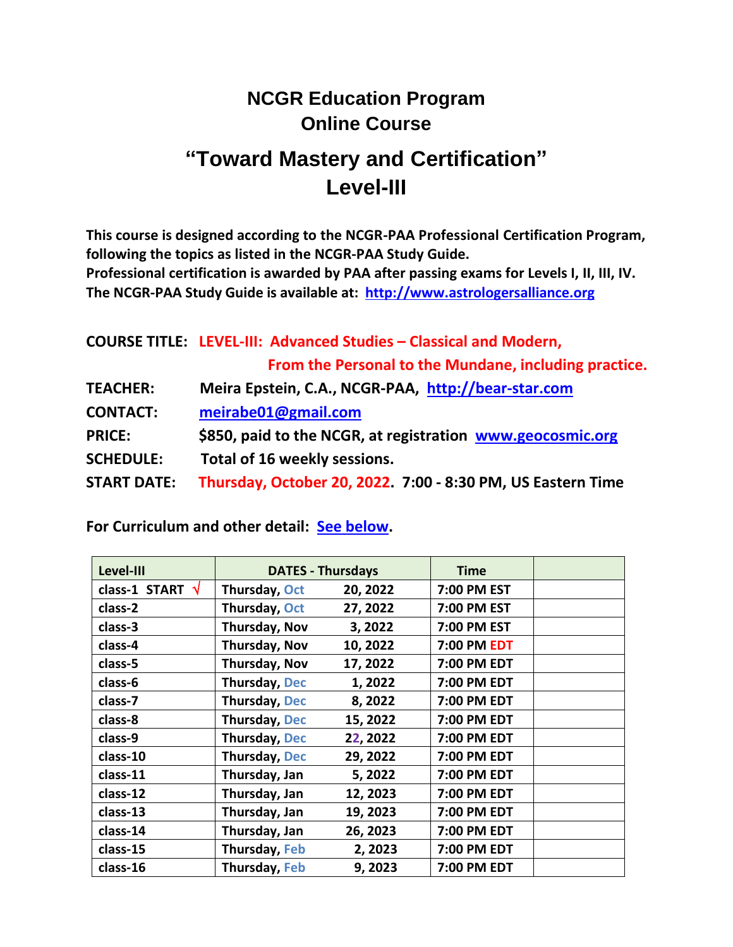# **NCGR Education Program Online Course**

# **"Toward Mastery and Certification" Level-III**

**This course is designed according to the NCGR-PAA Professional Certification Program, following the topics as listed in the NCGR-PAA Study Guide. Professional certification is awarded by PAA after passing exams for Levels I, II, III, IV.**

**The NCGR-PAA Study Guide is available at: [http://www.astrologersalliance.org](http://www.astrologersalliance.org/)**

|                    | <b>COURSE TITLE: LEVEL-III: Advanced Studies - Classical and Modern,</b> |
|--------------------|--------------------------------------------------------------------------|
|                    | From the Personal to the Mundane, including practice.                    |
| <b>TEACHER:</b>    | Meira Epstein, C.A., NCGR-PAA, http://bear-star.com                      |
| <b>CONTACT:</b>    | meirabe01@gmail.com                                                      |
| <b>PRICE:</b>      | \$850, paid to the NCGR, at registration www.geocosmic.org               |
| <b>SCHEDULE:</b>   | Total of 16 weekly sessions.                                             |
| <b>START DATE:</b> | Thursday, October 20, 2022. 7:00 - 8:30 PM, US Eastern Time              |

| Level-III               | <b>DATES - Thursdays</b> |          | Time        |  |
|-------------------------|--------------------------|----------|-------------|--|
| class-1 START $\sqrt{}$ | Thursday, Oct            | 20, 2022 | 7:00 PM EST |  |
| class-2                 | Thursday, Oct            | 27, 2022 | 7:00 PM EST |  |
| class-3                 | Thursday, Nov            | 3, 2022  | 7:00 PM EST |  |
| class-4                 | Thursday, Nov            | 10, 2022 | 7:00 PM EDT |  |
| class-5                 | Thursday, Nov            | 17, 2022 | 7:00 PM EDT |  |
| class-6                 | <b>Thursday, Dec</b>     | 1,2022   | 7:00 PM EDT |  |
| class-7                 | <b>Thursday, Dec</b>     | 8,2022   | 7:00 PM EDT |  |
| class-8                 | <b>Thursday, Dec</b>     | 15, 2022 | 7:00 PM EDT |  |
| class-9                 | <b>Thursday, Dec</b>     | 22, 2022 | 7:00 PM EDT |  |
| class-10                | <b>Thursday, Dec</b>     | 29, 2022 | 7:00 PM EDT |  |
| class-11                | Thursday, Jan            | 5,2022   | 7:00 PM EDT |  |
| class-12                | Thursday, Jan            | 12, 2023 | 7:00 PM EDT |  |
| class-13                | Thursday, Jan            | 19, 2023 | 7:00 PM EDT |  |
| class-14                | Thursday, Jan            | 26, 2023 | 7:00 PM EDT |  |
| class-15                | Thursday, Feb            | 2,2023   | 7:00 PM EDT |  |
| class-16                | Thursday, Feb            | 9,2023   | 7:00 PM EDT |  |

**For Curriculum and other detail: [See below.](#page-2-0)**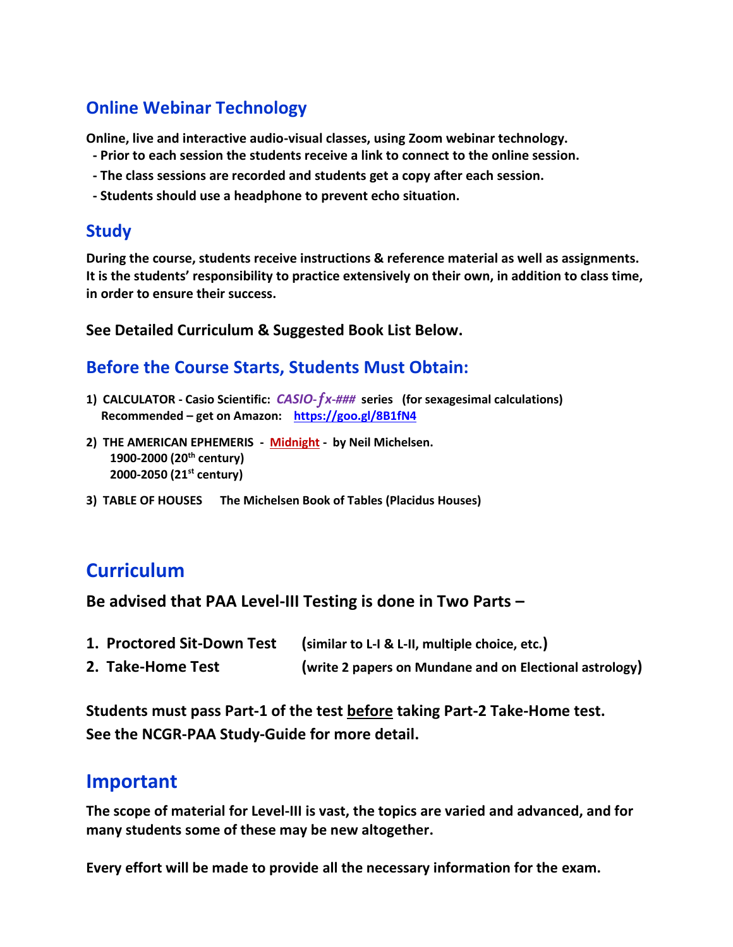## **Online Webinar Technology**

**Online, live and interactive audio-visual classes, using Zoom webinar technology.** 

- **- Prior to each session the students receive a link to connect to the online session.**
- **- The class sessions are recorded and students get a copy after each session.**
- **- Students should use a headphone to prevent echo situation.**

## **Study**

**During the course, students receive instructions & reference material as well as assignments. It is the students' responsibility to practice extensively on their own, in addition to class time, in order to ensure their success.** 

**See Detailed Curriculum & Suggested Book List Below.**

## **Before the Course Starts, Students Must Obtain:**

- **1) CALCULATOR - Casio Scientific:** *CASIO***-***x***-***###* **series (for sexagesimal calculations) Recommended – get on Amazon: <https://goo.gl/8B1fN4>**
- **2) THE AMERICAN EPHEMERIS Midnight by Neil Michelsen. 1900-2000 (20th century) 2000-2050 (21st century)**
- **3) TABLE OF HOUSES The Michelsen Book of Tables (Placidus Houses)**

## **Curriculum**

## **Be advised that PAA Level-III Testing is done in Two Parts –**

| 1. Proctored Sit-Down Test | (similar to L-I & L-II, multiple choice, etc.) |
|----------------------------|------------------------------------------------|
|                            |                                                |

**2. Take-Home Test (write 2 papers on Mundane and on Electional astrology)**

**Students must pass Part-1 of the test before taking Part-2 Take-Home test. See the NCGR-PAA Study-Guide for more detail.**

## **Important**

**The scope of material for Level-III is vast, the topics are varied and advanced, and for many students some of these may be new altogether.** 

**Every effort will be made to provide all the necessary information for the exam.**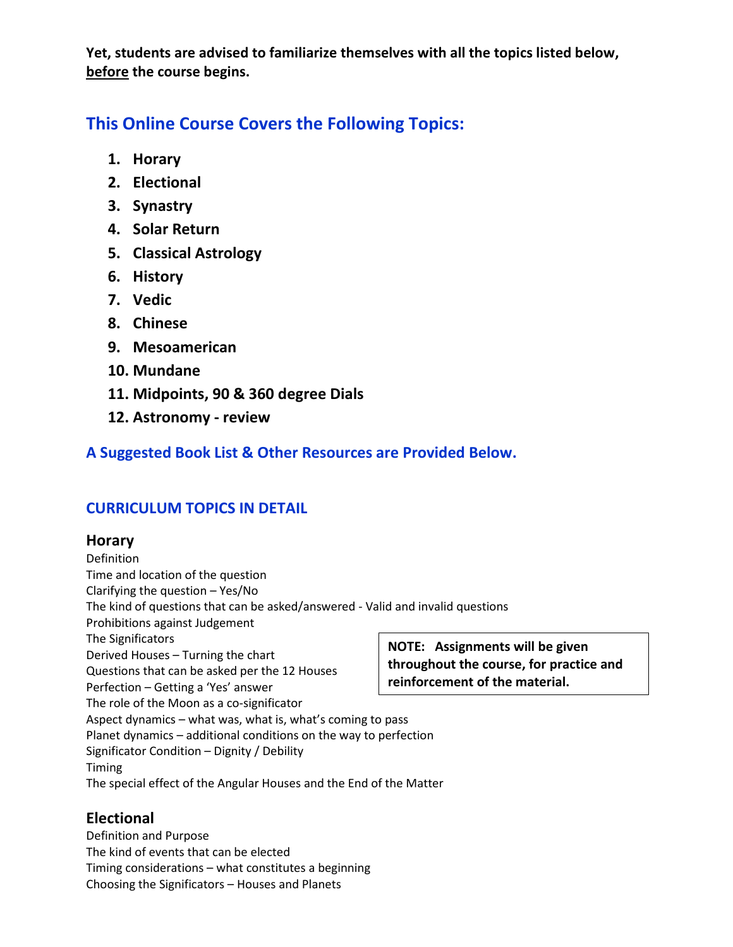**Yet, students are advised to familiarize themselves with all the topics listed below, before the course begins.**

## <span id="page-2-0"></span>**This Online Course Covers the Following Topics:**

- **1. Horary**
- **2. Electional**
- **3. Synastry**
- **4. Solar Return**
- **5. Classical Astrology**
- **6. History**
- **7. Vedic**
- **8. Chinese**
- **9. Mesoamerican**
- **10. Mundane**
- **11. Midpoints, 90 & 360 degree Dials**
- **12. Astronomy - review**

#### **A Suggested Book List & Other Resources are Provided Below.**

## **CURRICULUM TOPICS IN DETAIL**

#### **Horary**

**Definition** Time and location of the question Clarifying the question – Yes/No The kind of questions that can be asked/answered - Valid and invalid questions Prohibitions against Judgement The Significators Derived Houses – Turning the chart Questions that can be asked per the 12 Houses Perfection – Getting a 'Yes' answer The role of the Moon as a co-significator Aspect dynamics – what was, what is, what's coming to pass Planet dynamics – additional conditions on the way to perfection Significator Condition – Dignity / Debility **Timing** The special effect of the Angular Houses and the End of the Matter

#### **Electional**

Definition and Purpose The kind of events that can be elected Timing considerations – what constitutes a beginning Choosing the Significators – Houses and Planets

**NOTE: Assignments will be given throughout the course, for practice and reinforcement of the material.**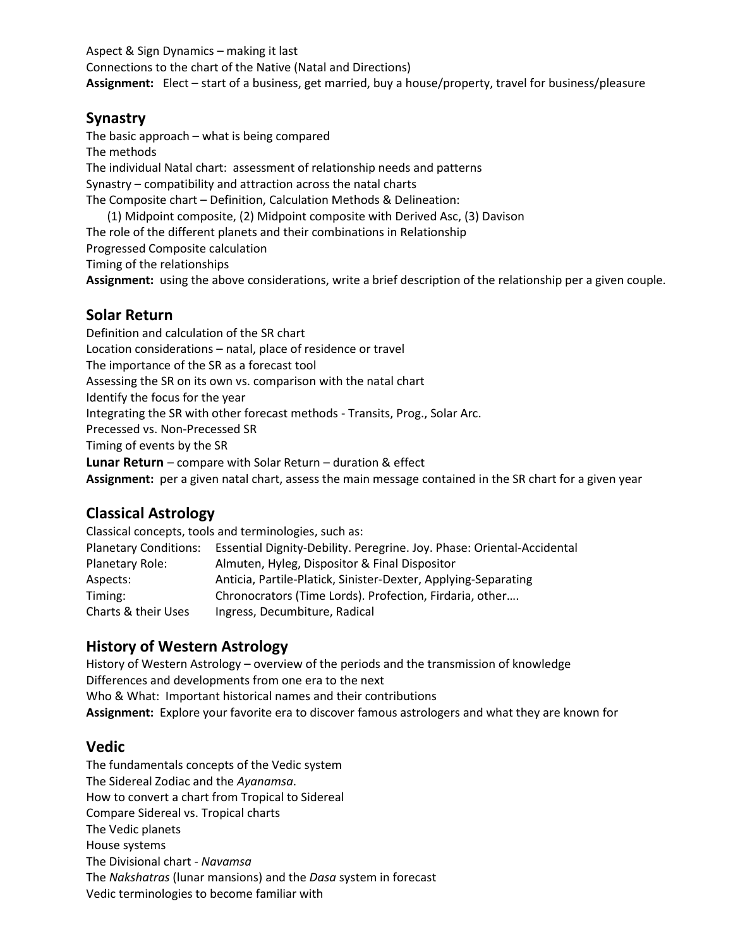Aspect & Sign Dynamics – making it last Connections to the chart of the Native (Natal and Directions) **Assignment:** Elect – start of a business, get married, buy a house/property, travel for business/pleasure

### **Synastry**

The basic approach – what is being compared The methods The individual Natal chart: assessment of relationship needs and patterns Synastry – compatibility and attraction across the natal charts The Composite chart – Definition, Calculation Methods & Delineation: (1) Midpoint composite, (2) Midpoint composite with Derived Asc, (3) Davison The role of the different planets and their combinations in Relationship Progressed Composite calculation Timing of the relationships **Assignment:** using the above considerations, write a brief description of the relationship per a given couple.

### **Solar Return**

Definition and calculation of the SR chart Location considerations – natal, place of residence or travel The importance of the SR as a forecast tool Assessing the SR on its own vs. comparison with the natal chart Identify the focus for the year Integrating the SR with other forecast methods - Transits, Prog., Solar Arc. Precessed vs. Non-Precessed SR Timing of events by the SR **Lunar Return** – compare with Solar Return – duration & effect

**Assignment:** per a given natal chart, assess the main message contained in the SR chart for a given year

## **Classical Astrology**

Classical concepts, tools and terminologies, such as: Planetary Conditions: Essential Dignity-Debility. Peregrine. Joy. Phase: Oriental-Accidental Planetary Role: Almuten, Hyleg, Dispositor & Final Dispositor Aspects: Anticia, Partile-Platick, Sinister-Dexter, Applying-Separating Timing: Chronocrators (Time Lords). Profection, Firdaria, other…. Charts & their Uses Ingress, Decumbiture, Radical

## **History of Western Astrology**

History of Western Astrology – overview of the periods and the transmission of knowledge Differences and developments from one era to the next Who & What: Important historical names and their contributions **Assignment:** Explore your favorite era to discover famous astrologers and what they are known for

## **Vedic**

The fundamentals concepts of the Vedic system The Sidereal Zodiac and the *Ayanamsa*. How to convert a chart from Tropical to Sidereal Compare Sidereal vs. Tropical charts The Vedic planets House systems The Divisional chart - *Navamsa* The *Nakshatras* (lunar mansions) and the *Dasa* system in forecast Vedic terminologies to become familiar with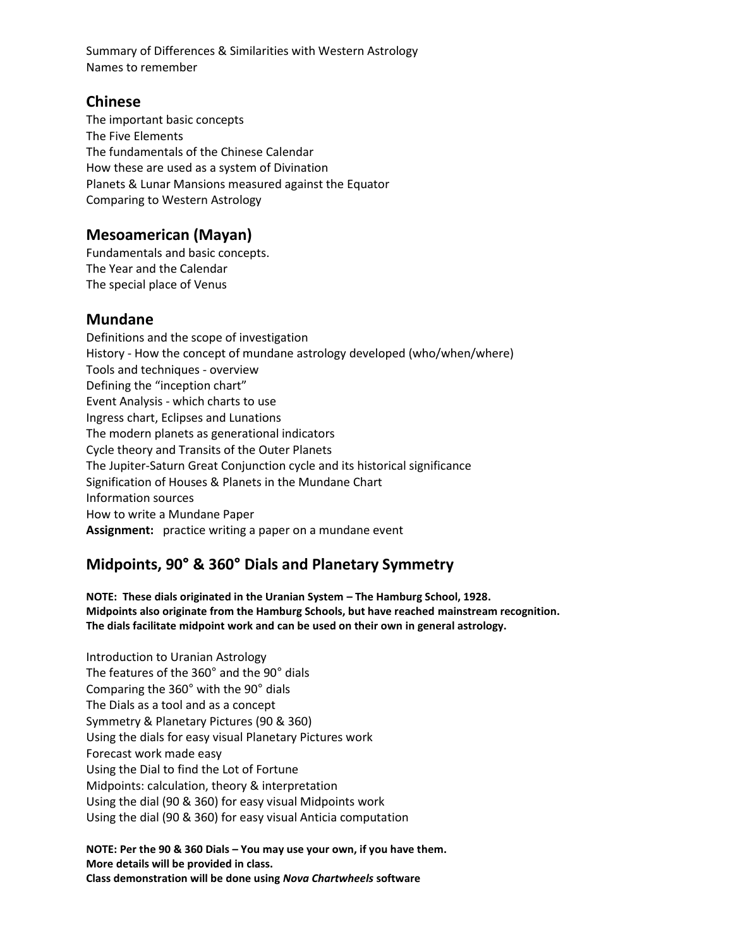Summary of Differences & Similarities with Western Astrology Names to remember

#### **Chinese**

The important basic concepts The Five Elements The fundamentals of the Chinese Calendar How these are used as a system of Divination Planets & Lunar Mansions measured against the Equator Comparing to Western Astrology

#### **Mesoamerican (Mayan)**

Fundamentals and basic concepts. The Year and the Calendar The special place of Venus

#### **Mundane**

Definitions and the scope of investigation History - How the concept of mundane astrology developed (who/when/where) Tools and techniques - overview Defining the "inception chart" Event Analysis - which charts to use Ingress chart, Eclipses and Lunations The modern planets as generational indicators Cycle theory and Transits of the Outer Planets The Jupiter-Saturn Great Conjunction cycle and its historical significance Signification of Houses & Planets in the Mundane Chart Information sources How to write a Mundane Paper **Assignment:** practice writing a paper on a mundane event

## **Midpoints, 90**° **& 360**° **Dials and Planetary Symmetry**

**NOTE: These dials originated in the Uranian System – The Hamburg School, 1928. Midpoints also originate from the Hamburg Schools, but have reached mainstream recognition. The dials facilitate midpoint work and can be used on their own in general astrology.**

Introduction to Uranian Astrology The features of the 360° and the 90° dials Comparing the 360° with the 90° dials The Dials as a tool and as a concept Symmetry & Planetary Pictures (90 & 360) Using the dials for easy visual Planetary Pictures work Forecast work made easy Using the Dial to find the Lot of Fortune Midpoints: calculation, theory & interpretation Using the dial (90 & 360) for easy visual Midpoints work Using the dial (90 & 360) for easy visual Anticia computation

**NOTE: Per the 90 & 360 Dials – You may use your own, if you have them. More details will be provided in class. Class demonstration will be done using** *Nova Chartwheels* **software**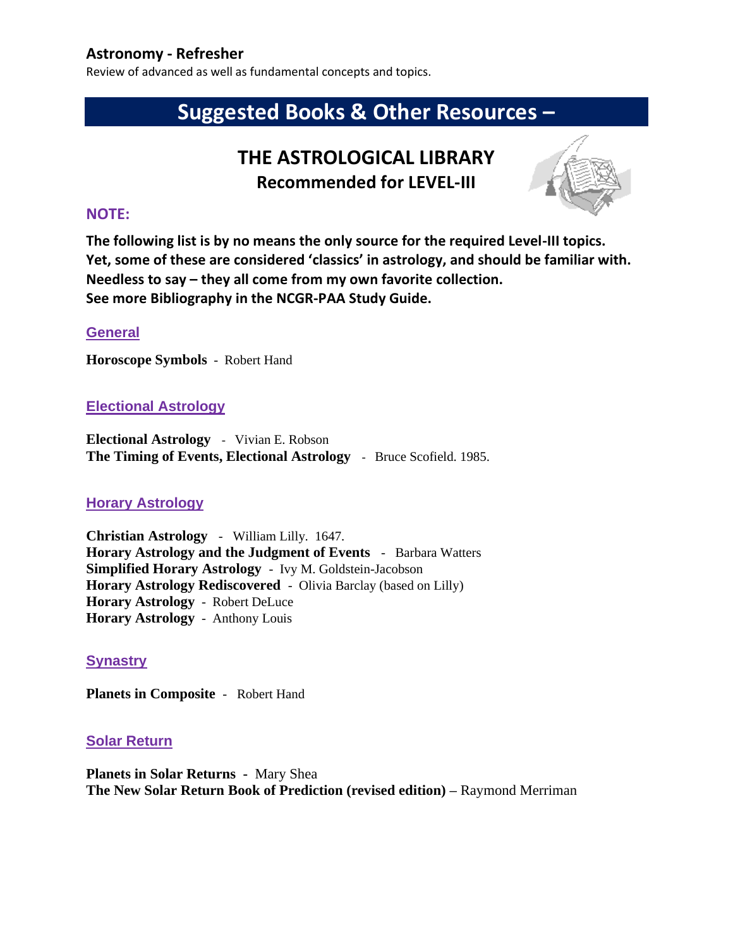## **Astronomy - Refresher**

Review of advanced as well as fundamental concepts and topics.

# **Suggested Books & Other Resources –**

## **THE ASTROLOGICAL LIBRARY Recommended for LEVEL-III**



#### **NOTE:**

**The following list is by no means the only source for the required Level-III topics. Yet, some of these are considered 'classics' in astrology, and should be familiar with. Needless to say – they all come from my own favorite collection. See more Bibliography in the NCGR-PAA Study Guide.**

#### **General**

**Horoscope Symbols** - Robert Hand

#### **Electional Astrology**

**Electional Astrology** - Vivian E. Robson **The Timing of Events, Electional Astrology** - Bruce Scofield. 1985.

#### **Horary Astrology**

**Christian Astrology** - William Lilly. 1647. **Horary Astrology and the Judgment of Events** - Barbara Watters **Simplified Horary Astrology** - Ivy M. Goldstein-Jacobson **Horary Astrology Rediscovered** - Olivia Barclay (based on Lilly) **Horary Astrology** - Robert DeLuce **Horary Astrology** - Anthony Louis

#### **Synastry**

**Planets in Composite** - Robert Hand

#### **Solar Return**

**Planets in Solar Returns -** Mary Shea **The New Solar Return Book of Prediction (revised edition) –** Raymond Merriman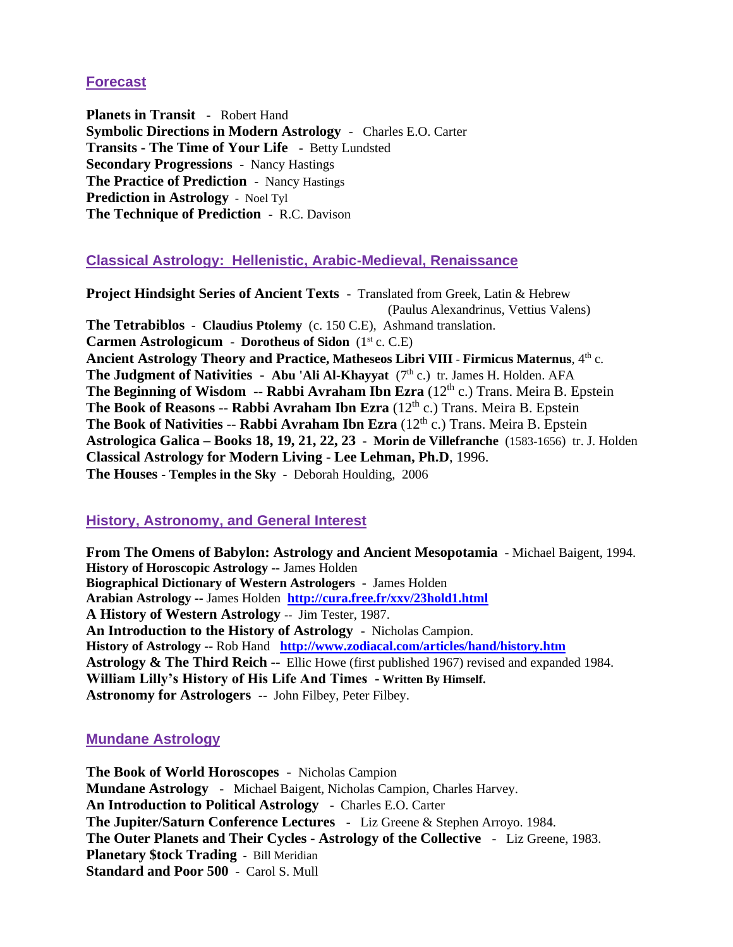#### **Forecast**

**Planets in Transit** - Robert Hand **Symbolic Directions in Modern Astrology** - Charles E.O. Carter **Transits - The Time of Your Life** - Betty Lundsted **Secondary Progressions** - Nancy Hastings **The Practice of Prediction** - Nancy Hastings **Prediction in Astrology** - Noel Tyl **The Technique of Prediction** - R.C. Davison

#### **Classical Astrology: Hellenistic, Arabic-Medieval, Renaissance**

**Project Hindsight Series of Ancient Texts** - Translated from Greek, Latin & Hebrew (Paulus Alexandrinus, Vettius Valens) **The Tetrabiblos** - **Claudius Ptolemy** (c. 150 C.E), Ashmand translation. **Carmen Astrologicum** - **Dorotheus of Sidon** (1st c. C.E) **Ancient Astrology Theory and Practice, Matheseos Libri VIII** - **Firmicus Maternus**, 4th c. **The Judgment of Nativities - Abu 'Ali Al-Khayyat** (7<sup>th</sup> c.) tr. James H. Holden. AFA **The Beginning of Wisdom** -- **Rabbi Avraham Ibn Ezra** (12<sup>th</sup> c.) Trans. Meira B. Epstein **The Book of Reasons -- Rabbi Avraham Ibn Ezra** (12<sup>th</sup> c.) Trans. Meira B. Epstein **The Book of Nativities -- Rabbi Avraham Ibn Ezra** (12<sup>th</sup> c.) Trans. Meira B. Epstein **Astrologica Galica – Books 18, 19, 21, 22, 23** - **Morin de Villefranche** (1583-1656) tr. J. Holden **Classical Astrology for Modern Living - Lee Lehman, Ph.D**, 1996. **The Houses - Temples in the Sky** - Deborah Houlding, 2006

#### **History, Astronomy, and General Interest**

**From The Omens of Babylon: Astrology and Ancient Mesopotamia** - Michael Baigent, 1994. **History of Horoscopic Astrology --** James Holden **Biographical Dictionary of Western Astrologers** - James Holden **Arabian Astrology --** James Holden **<http://cura.free.fr/xxv/23hold1.html> A History of Western Astrology** -- Jim Tester, 1987. **An Introduction to the History of Astrology** - Nicholas Campion. **History of Astrology** -- Rob Hand **<http://www.zodiacal.com/articles/hand/history.htm> Astrology & The Third Reich --** Ellic Howe (first published 1967) revised and expanded 1984. **William Lilly's History of His Life And Times - Written By Himself. Astronomy for Astrologers** -- John Filbey, Peter Filbey.

#### **Mundane Astrology**

**The Book of World Horoscopes** - Nicholas Campion **Mundane Astrology** - Michael Baigent, Nicholas Campion, Charles Harvey. **An Introduction to Political Astrology** - Charles E.O. Carter **The Jupiter/Saturn Conference Lectures** - Liz Greene & Stephen Arroyo. 1984. **The Outer Planets and Their Cycles - Astrology of the Collective** - Liz Greene, 1983. **Planetary \$tock Trading** - Bill Meridian **Standard and Poor 500** - Carol S. Mull